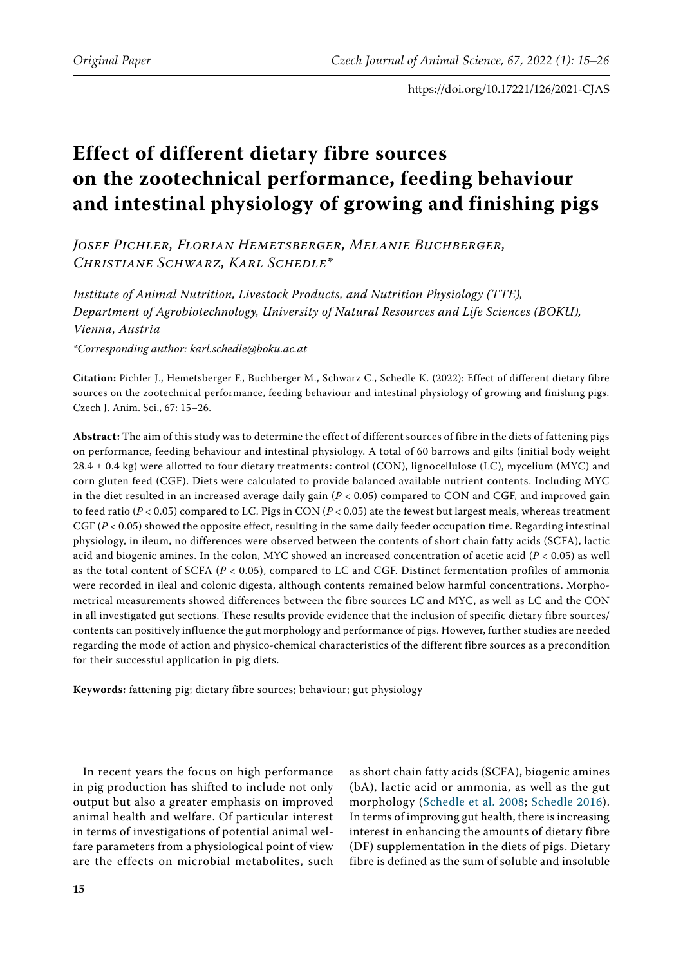# **Effect of different dietary fibre sources on the zootechnical performance, feeding behaviour and intestinal physiology of growing and finishing pigs**

*Josef Pichler, Florian Hemetsberger, Melanie Buchberger, Christiane Schwarz, Karl Schedle\** 

*Institute of Animal Nutrition, Livestock Products, and Nutrition Physiology (TTE), Department of Agrobiotechnology, University of Natural Resources and Life Sciences (BOKU), Vienna, Austria*

*\*Corresponding author: karl.schedle@boku.ac.at*

**Citation:** Pichler J., Hemetsberger F., Buchberger M., Schwarz C., Schedle K. (2022): Effect of different dietary fibre sources on the zootechnical performance, feeding behaviour and intestinal physiology of growing and finishing pigs. Czech J. Anim. Sci., 67: 15–26.

**Abstract:** The aim of this study was to determine the effect of different sources of fibre in the diets of fattening pigs on performance, feeding behaviour and intestinal physiology. A total of 60 barrows and gilts (initial body weight 28.4 ± 0.4 kg) were allotted to four dietary treatments: control (CON), lignocellulose (LC), mycelium (MYC) and corn gluten feed (CGF). Diets were calculated to provide balanced available nutrient contents. Including MYC in the diet resulted in an increased average daily gain  $(P < 0.05)$  compared to CON and CGF, and improved gain to feed ratio (*P* < 0.05) compared to LC. Pigs in CON (*P* < 0.05) ate the fewest but largest meals, whereas treatment CGF (*P* < 0.05) showed the opposite effect, resulting in the same daily feeder occupation time. Regarding intestinal physiology, in ileum, no differences were observed between the contents of short chain fatty acids (SCFA), lactic acid and biogenic amines. In the colon, MYC showed an increased concentration of acetic acid (*P* < 0.05) as well as the total content of SCFA (*P* < 0.05), compared to LC and CGF. Distinct fermentation profiles of ammonia were recorded in ileal and colonic digesta, although contents remained below harmful concentrations. Morphometrical measurements showed differences between the fibre sources LC and MYC, as well as LC and the CON in all investigated gut sections. These results provide evidence that the inclusion of specific dietary fibre sources/ contents can positively influence the gut morphology and performance of pigs. However, further studies are needed regarding the mode of action and physico-chemical characteristics of the different fibre sources as a precondition for their successful application in pig diets.

**Keywords:** fattening pig; dietary fibre sources; behaviour; gut physiology

In recent years the focus on high performance in pig production has shifted to include not only output but also a greater emphasis on improved animal health and welfare. Of particular interest in terms of investigations of potential animal welfare parameters from a physiological point of view are the effects on microbial metabolites, such

as short chain fatty acids (SCFA), biogenic amines (bA), lactic acid or ammonia, as well as the gut morphology ([Schedle et al. 2008](#page-10-0); [Schedle 2016](#page-10-1)). In terms of improving gut health, there is increasing interest in enhancing the amounts of dietary fibre (DF) supplementation in the diets of pigs. Dietary fibre is defined as the sum of soluble and insoluble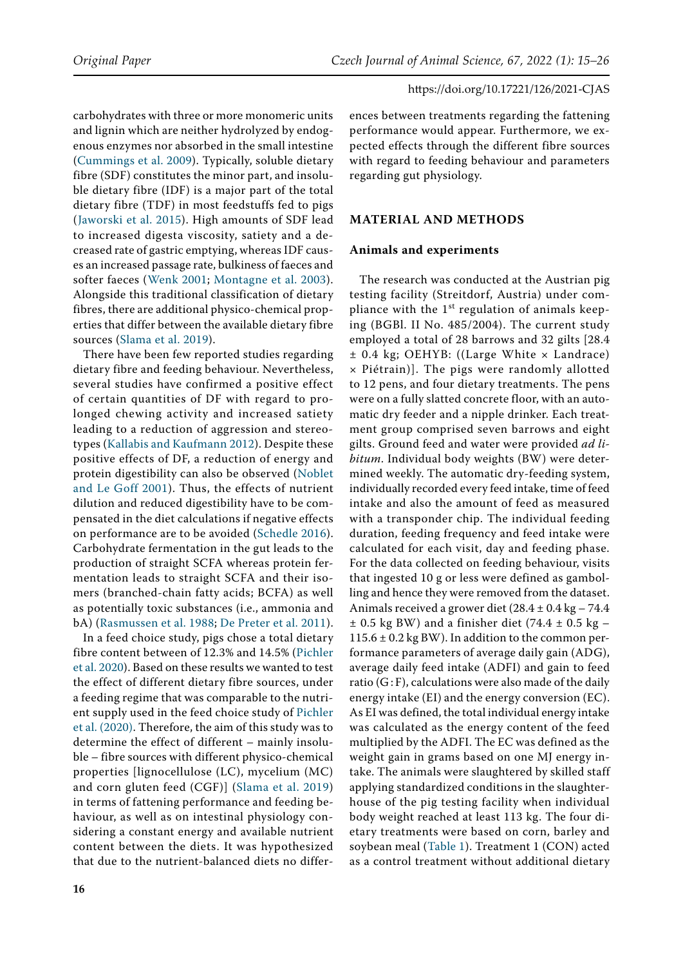carbohydrates with three or more monomeric units and lignin which are neither hydrolyzed by endogenous enzymes nor absorbed in the small intestine [\(Cummings et al. 2009](#page-9-0)). Typically, soluble dietary fibre (SDF) constitutes the minor part, and insoluble dietary fibre (IDF) is a major part of the total dietary fibre (TDF) in most feedstuffs fed to pigs ([Jaworski et al. 2015](#page-10-2)). High amounts of SDF lead to increased digesta viscosity, satiety and a decreased rate of gastric emptying, whereas IDF causes an increased passage rate, bulkiness of faeces and softer faeces ([Wenk 2001;](#page-11-0) [Montagne et al. 2003](#page-10-3)). Alongside this traditional classification of dietary fibres, there are additional physico-chemical properties that differ between the available dietary fibre sources ([Slama et al. 2019\)](#page-10-4).

There have been few reported studies regarding dietary fibre and feeding behaviour. Nevertheless, several studies have confirmed a positive effect of certain quantities of DF with regard to prolonged chewing activity and increased satiety leading to a reduction of aggression and stereotypes ([Kallabis and Kaufmann 2012\)](#page-10-5). Despite these positive effects of DF, a reduction of energy and protein digestibility can also be observed [\(Noblet](#page-10-6)  [and Le Goff 2001\)](#page-10-6). Thus, the effects of nutrient dilution and reduced digestibility have to be compensated in the diet calculations if negative effects on performance are to be avoided ([Schedle 2016\)](#page-10-1). Carbohydrate fermentation in the gut leads to the production of straight SCFA whereas protein fermentation leads to straight SCFA and their isomers (branched-chain fatty acids; BCFA) as well as potentially toxic substances (i.e., ammonia and bA) ([Rasmussen et al. 1988;](#page-10-7) [De Preter et al. 2011\)](#page-9-1).

In a feed choice study, pigs chose a total dietary fibre content between of 12.3% and 14.5% [\(Pichler](#page-10-8)  [et al. 2020\)](#page-10-8). Based on these results we wanted to test the effect of different dietary fibre sources, under a feeding regime that was comparable to the nutrient supply used in the feed choice study of [Pichler](#page-10-8)  [et al. \(2020\).](#page-10-8) Therefore, the aim of this study was to determine the effect of different – mainly insoluble – fibre sources with different physico-chemical properties [lignocellulose (LC), mycelium (MC) and corn gluten feed (CGF)] ([Slama et al. 2019](#page-10-4)) in terms of fattening performance and feeding behaviour, as well as on intestinal physiology considering a constant energy and available nutrient content between the diets. It was hypothesized that due to the nutrient-balanced diets no differ-

ences between treatments regarding the fattening performance would appear. Furthermore, we expected effects through the different fibre sources with regard to feeding behaviour and parameters regarding gut physiology.

# **Material and methods**

# **Animals and experiments**

The research was conducted at the Austrian pig testing facility (Streitdorf, Austria) under compliance with the  $1<sup>st</sup>$  regulation of animals keeping (BGBl. II No. 485/2004). The current study employed a total of 28 barrows and 32 gilts [28.4 ± 0.4 kg; OEHYB: ((Large White × Landrace) × Piétrain)]. The pigs were randomly allotted to 12 pens, and four dietary treatments. The pens were on a fully slatted concrete floor, with an automatic dry feeder and a nipple drinker. Each treatment group comprised seven barrows and eight gilts. Ground feed and water were provided *ad libitum*. Individual body weights (BW) were determined weekly. The automatic dry-feeding system, individually recorded every feed intake, time of feed intake and also the amount of feed as measured with a transponder chip. The individual feeding duration, feeding frequency and feed intake were calculated for each visit, day and feeding phase. For the data collected on feeding behaviour, visits that ingested 10 g or less were defined as gambolling and hence they were removed from the dataset. Animals received a grower diet (28.4 ± 0.4 kg – 74.4  $\pm$  0.5 kg BW) and a finisher diet (74.4  $\pm$  0.5 kg –  $115.6 \pm 0.2$  kg BW). In addition to the common performance parameters of average daily gain (ADG), average daily feed intake (ADFI) and gain to feed ratio  $(GF)$ , calculations were also made of the daily energy intake (EI) and the energy conversion (EC). As EI was defined, the total individual energy intake was calculated as the energy content of the feed multiplied by the ADFI. The EC was defined as the weight gain in grams based on one MJ energy intake. The animals were slaughtered by skilled staff applying standardized conditions in the slaughterhouse of the pig testing facility when individual body weight reached at least 113 kg. The four dietary treatments were based on corn, barley and soybean meal (Table 1). Treatment 1 (CON) acted as a control treatment without additional dietary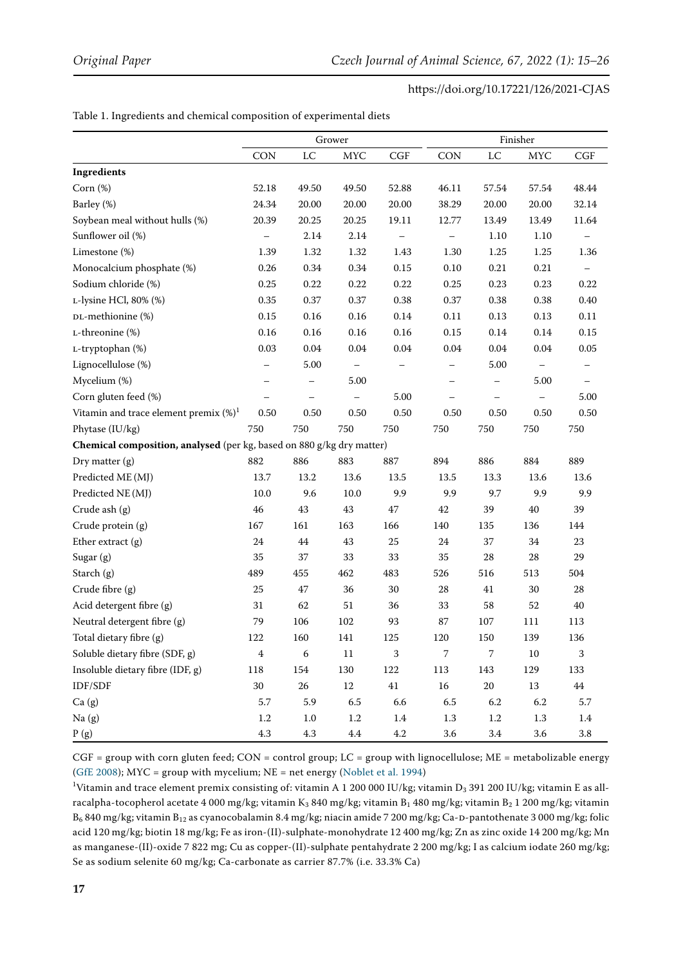#### Table 1. Ingredients and chemical composition of experimental diets

|                                                                       |                          |             | Grower            |         | Finisher                 |          |                   |                   |
|-----------------------------------------------------------------------|--------------------------|-------------|-------------------|---------|--------------------------|----------|-------------------|-------------------|
|                                                                       | <b>CON</b>               | $_{\rm LC}$ | <b>MYC</b>        | CGF     | <b>CON</b>               | LC       | <b>MYC</b>        | <b>CGF</b>        |
| Ingredients                                                           |                          |             |                   |         |                          |          |                   |                   |
| Corn $(\%)$                                                           | 52.18                    | 49.50       | 49.50             | 52.88   | 46.11                    | 57.54    | 57.54             | 48.44             |
| Barley (%)                                                            | 24.34                    | 20.00       | 20.00             | 20.00   | 38.29                    | 20.00    | 20.00             | 32.14             |
| Soybean meal without hulls (%)                                        | 20.39                    | 20.25       | 20.25             | 19.11   | 12.77                    | 13.49    | 13.49             | 11.64             |
| Sunflower oil (%)                                                     |                          | 2.14        | 2.14              |         |                          | 1.10     | 1.10              |                   |
| Limestone (%)                                                         | 1.39                     | 1.32        | 1.32              | 1.43    | 1.30                     | 1.25     | 1.25              | 1.36              |
| Monocalcium phosphate (%)                                             | 0.26                     | 0.34        | 0.34              | 0.15    | 0.10                     | 0.21     | 0.21              | $\qquad \qquad -$ |
| Sodium chloride (%)                                                   | 0.25                     | 0.22        | 0.22              | 0.22    | 0.25                     | 0.23     | 0.23              | 0.22              |
| L-lysine HCl, 80% (%)                                                 | 0.35                     | 0.37        | 0.37              | 0.38    | 0.37                     | 0.38     | 0.38              | 0.40              |
| DL-methionine (%)                                                     | 0.15                     | 0.16        | 0.16              | 0.14    | 0.11                     | 0.13     | 0.13              | 0.11              |
| L-threonine (%)                                                       | 0.16                     | $0.16\,$    | 0.16              | 0.16    | 0.15                     | $0.14\,$ | 0.14              | 0.15              |
| L-tryptophan (%)                                                      | 0.03                     | 0.04        | 0.04              | 0.04    | 0.04                     | 0.04     | 0.04              | $0.05\,$          |
| Lignocellulose (%)                                                    | $\overline{\phantom{0}}$ | 5.00        | $\qquad \qquad -$ |         | $\overline{\phantom{0}}$ | 5.00     | $\qquad \qquad -$ |                   |
| Mycelium (%)                                                          |                          |             | 5.00              |         |                          |          | 5.00              |                   |
| Corn gluten feed (%)                                                  |                          |             |                   | 5.00    |                          |          |                   | 5.00              |
| Vitamin and trace element premix $(\%)^1$                             | 0.50                     | 0.50        | 0.50              | 0.50    | 0.50                     | 0.50     | 0.50              | 0.50              |
| Phytase (IU/kg)                                                       | 750                      | 750         | 750               | 750     | 750                      | 750      | 750               | 750               |
| Chemical composition, analysed (per kg, based on 880 g/kg dry matter) |                          |             |                   |         |                          |          |                   |                   |
| Dry matter (g)                                                        | 882                      | 886         | 883               | 887     | 894                      | 886      | 884               | 889               |
| Predicted ME (MJ)                                                     | 13.7                     | 13.2        | 13.6              | 13.5    | 13.5                     | 13.3     | 13.6              | 13.6              |
| Predicted NE (MJ)                                                     | 10.0                     | 9.6         | 10.0              | 9.9     | 9.9                      | 9.7      | 9.9               | 9.9               |
| Crude ash (g)                                                         | 46                       | 43          | 43                | 47      | 42                       | 39       | 40                | 39                |
| Crude protein (g)                                                     | 167                      | 161         | 163               | 166     | 140                      | 135      | 136               | 144               |
| Ether extract (g)                                                     | 24                       | $44\,$      | 43                | 25      | 24                       | 37       | 34                | 23                |
| Sugar (g)                                                             | 35                       | 37          | 33                | 33      | 35                       | 28       | 28                | 29                |
| Starch (g)                                                            | 489                      | 455         | 462               | 483     | 526                      | 516      | 513               | 504               |
| Crude fibre (g)                                                       | 25                       | 47          | 36                | 30      | 28                       | 41       | 30                | 28                |
| Acid detergent fibre (g)                                              | 31                       | 62          | 51                | 36      | 33                       | 58       | 52                | 40                |
| Neutral detergent fibre (g)                                           | 79                       | 106         | 102               | 93      | 87                       | 107      | 111               | 113               |
| Total dietary fibre (g)                                               | 122                      | 160         | 141               | 125     | 120                      | 150      | 139               | 136               |
| Soluble dietary fibre (SDF, g)                                        | $\overline{4}$           | 6           | $11\,$            | 3       | 7                        | 7        | 10                | 3                 |
| Insoluble dietary fibre (IDF, g)                                      | 118                      | 154         | $130\,$           | 122     | 113                      | 143      | 129               | 133               |
| $\ensuremath{\mathit{IDF}}\xspace/\ensuremath{\mathit{SDF}}\xspace$   | $30\,$                   | $26\,$      | $12\,$            | 41      | $16\,$                   | $20\,$   | 13                | $44\,$            |
| Ca(g)                                                                 | 5.7                      | 5.9         | 6.5               | 6.6     | 6.5                      | 6.2      | 6.2               | $5.7\,$           |
| Na(g)                                                                 | 1.2                      | $1.0\,$     | $1.2\,$           | $1.4\,$ | $1.3\,$                  | $1.2\,$  | $1.3\,$           | 1.4               |
| P(g)                                                                  | 4.3                      | 4.3         | $4.4\,$           | $4.2\,$ | 3.6                      | $3.4\,$  | 3.6               | $3.8\,$           |

 $CGF = group$  with corn gluten feed;  $CON = control$  group;  $LC = group$  with lignocellulose;  $ME = metabolic$  metabolizable energy [\(GfE 2008\)](#page-9-2); MYC = group with mycelium; NE = net energy ([Noblet et al. 1994](#page-10-9))

<sup>1</sup>Vitamin and trace element premix consisting of: vitamin A 1 200 000 IU/kg; vitamin D<sub>3</sub> 391 200 IU/kg; vitamin E as allracalpha-tocopherol acetate 4 000 mg/kg; vitamin K<sub>3</sub> 840 mg/kg; vitamin B<sub>1</sub> 480 mg/kg; vitamin B<sub>2</sub> 1 200 mg/kg; vitamin  $B_6$  840 mg/kg; vitamin  $B_{12}$  as cyanocobalamin 8.4 mg/kg; niacin amide 7 200 mg/kg; Ca-D-pantothenate 3 000 mg/kg; folic acid 120 mg/kg; biotin 18 mg/kg; Fe as iron-(II)-sulphate-monohydrate 12 400 mg/kg; Zn as zinc oxide 14 200 mg/kg; Mn as manganese-(II)-oxide 7 822 mg; Cu as copper-(II)-sulphate pentahydrate 2 200 mg/kg; I as calcium iodate 260 mg/kg; Se as sodium selenite 60 mg/kg; Ca-carbonate as carrier 87.7% (i.e. 33.3% Ca)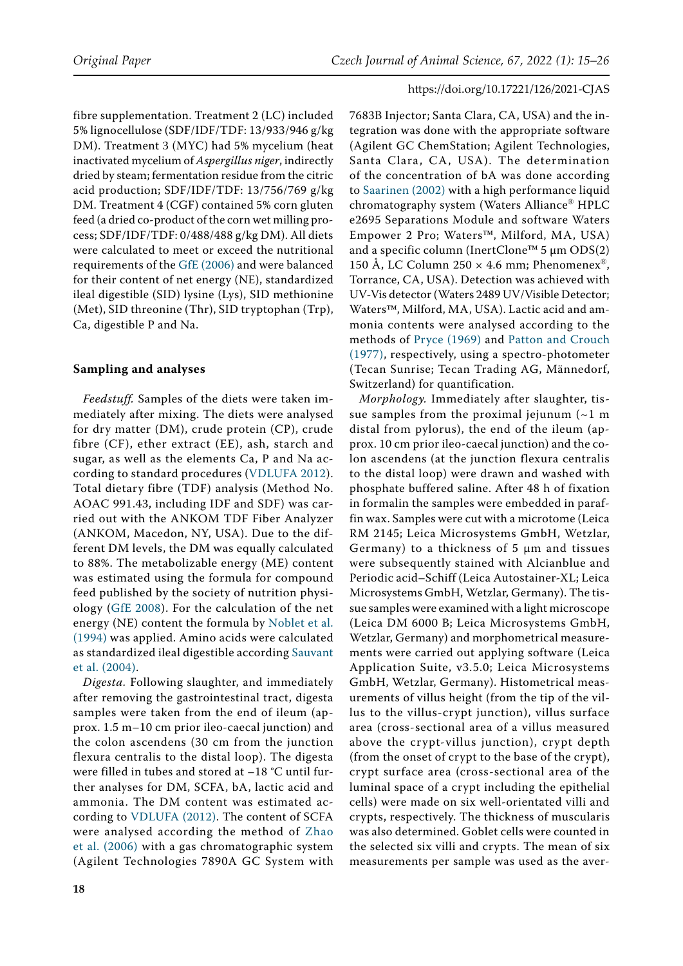fibre supplementation. Treatment 2 (LC) included 5% lignocellulose (SDF/IDF/TDF: 13/933/946 g/kg DM). Treatment 3 (MYC) had 5% mycelium (heat inactivated mycelium of *Aspergillus niger*, indirectly dried by steam; fermentation residue from the citric acid production; SDF/IDF/TDF: 13/756/769 g/kg DM. Treatment 4 (CGF) contained 5% corn gluten feed (a dried co-product of the corn wet milling process; SDF/IDF/TDF: 0/488/488 g/kg DM). All diets were calculated to meet or exceed the nutritional requirements of the [GfE \(2006\)](#page-9-3) and were balanced for their content of net energy (NE), standardized ileal digestible (SID) lysine (Lys), SID methionine (Met), SID threonine (Thr), SID tryptophan (Trp), Ca, digestible P and Na.

## **Sampling and analyses**

*Feedstuff.* Samples of the diets were taken immediately after mixing. The diets were analysed for dry matter (DM), crude protein (CP), crude fibre (CF), ether extract (EE), ash, starch and sugar, as well as the elements Ca, P and Na according to standard procedures ([VDLUFA 2012](#page-11-1)). Total dietary fibre (TDF) analysis (Method No. AOAC 991.43, including IDF and SDF) was carried out with the ANKOM TDF Fiber Analyzer (ANKOM, Macedon, NY, USA). Due to the different DM levels, the DM was equally calculated to 88%. The metabolizable energy (ME) content was estimated using the formula for compound feed published by the society of nutrition physiology ([GfE 2008](#page-9-2)). For the calculation of the net energy (NE) content the formula by [Noblet et al.](#page-10-9)  [\(1994\)](#page-10-9) was applied. Amino acids were calculated as standardized ileal digestible according [Sauvant](#page-10-13)  [et al. \(2004\).](#page-10-13)

*Digesta.* Following slaughter, and immediately after removing the gastrointestinal tract, digesta samples were taken from the end of ileum (approx. 1.5 m–10 cm prior ileo-caecal junction) and the colon ascendens (30 cm from the junction flexura centralis to the distal loop). The digesta were filled in tubes and stored at –18 °C until further analyses for DM, SCFA, bA, lactic acid and ammonia. The DM content was estimated according to [VDLUFA \(2012\)](#page-11-1). The content of SCFA were analysed according the method of [Zhao](#page-11-2)  [et al. \(2006\)](#page-11-2) with a gas chromatographic system (Agilent Technologies 7890A GC System with

7683B Injector; Santa Clara, CA, USA) and the integration was done with the appropriate software (Agilent GC ChemStation; Agilent Technologies, Santa Clara, CA, USA). The determination of the concentration of bA was done according to [Saarinen \(2002\)](#page-10-10) with a high performance liquid chromatography system (Waters Alliance® HPLC e2695 Separations Module and software Waters Empower 2 Pro; Waters™, Milford, MA, USA) and a specific column (InertClone™ 5 µm ODS(2) 150 Å, LC Column 250  $\times$  4.6 mm; Phenomenex<sup>®</sup>, Torrance, CA, USA). Detection was achieved with UV-Vis detector (Waters 2489 UV/Visible Detector; Waters™, Milford, MA, USA). Lactic acid and ammonia contents were analysed according to the methods of [Pryce \(1969\)](#page-10-11) and [Patton and Crouch](#page-10-12) [\(1977\),](#page-10-12) respectively, using a spectro-photometer (Tecan Sunrise; Tecan Trading AG, Männedorf, Switzerland) for quantification.

*Morphology.* Immediately after slaughter, tissue samples from the proximal jejunum  $(\sim 1$  m distal from pylorus), the end of the ileum (approx. 10 cm prior ileo-caecal junction) and the colon ascendens (at the junction flexura centralis to the distal loop) were drawn and washed with phosphate buffered saline. After 48 h of fixation in formalin the samples were embedded in paraffin wax. Samples were cut with a microtome (Leica RM 2145; Leica Microsystems GmbH, Wetzlar, Germany) to a thickness of  $5 \mu m$  and tissues were subsequently stained with Alcianblue and Periodic acid–Schiff (Leica Autostainer-XL; Leica Microsystems GmbH, Wetzlar, Germany). The tissue samples were examined with a light microscope (Leica DM 6000 B; Leica Microsystems GmbH, Wetzlar, Germany) and morphometrical measurements were carried out applying software (Leica Application Suite, v3.5.0; Leica Microsystems GmbH, Wetzlar, Germany). Histometrical measurements of villus height (from the tip of the villus to the villus-crypt junction), villus surface area (cross-sectional area of a villus measured above the crypt-villus junction), crypt depth (from the onset of crypt to the base of the crypt), crypt surface area (cross-sectional area of the luminal space of a crypt including the epithelial cells) were made on six well-orientated villi and crypts, respectively. The thickness of muscularis was also determined. Goblet cells were counted in the selected six villi and crypts. The mean of six measurements per sample was used as the aver-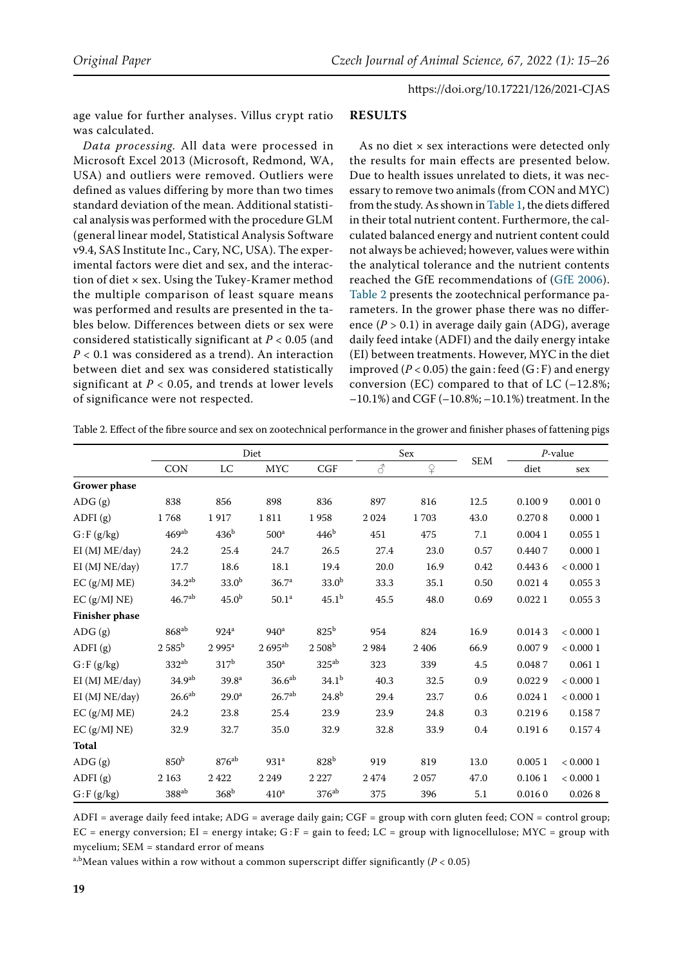age value for further analyses. Villus crypt ratio was calculated.

*Data processing.* All data were processed in Microsoft Excel 2013 (Microsoft, Redmond, WA, USA) and outliers were removed. Outliers were defined as values differing by more than two times standard deviation of the mean. Additional statistical analysis was performed with the procedure GLM (general linear model, Statistical Analysis Software v9.4, SAS Institute Inc., Cary, NC, USA). The experimental factors were diet and sex, and the interaction of diet × sex. Using the Tukey-Kramer method the multiple comparison of least square means was performed and results are presented in the tables below. Differences between diets or sex were considered statistically significant at *P* < 0.05 (and *P* < 0.1 was considered as a trend). An interaction between diet and sex was considered statistically significant at  $P < 0.05$ , and trends at lower levels of significance were not respected.

#### **Results**

As no diet × sex interactions were detected only the results for main effects are presented below. Due to health issues unrelated to diets, it was necessary to remove two animals (from CON and MYC) from the study. As shown in Table 1, the diets differed in their total nutrient content. Furthermore, the calculated balanced energy and nutrient content could not always be achieved; however, values were within the analytical tolerance and the nutrient contents reached the GfE recommendations of ([GfE 2006](#page-9-3)). Table 2 presents the zootechnical performance parameters. In the grower phase there was no difference (*P* > 0.1) in average daily gain (ADG), average daily feed intake (ADFI) and the daily energy intake (EI) between treatments. However, MYC in the diet improved  $(P < 0.05)$  the gain: feed  $(G : F)$  and energy conversion (EC) compared to that of LC  $(-12.8\%;$ –10.1%) and CGF (–10.8%; –10.1%) treatment. In the

|                       | Diet               |                   |                      |                   | Sex  |                             | $P$ -value  |        |              |
|-----------------------|--------------------|-------------------|----------------------|-------------------|------|-----------------------------|-------------|--------|--------------|
|                       | <b>CON</b>         | ${\rm LC}$        | <b>MYC</b>           | CGF               | 8    | $\operatorname{\mathsf{P}}$ | ${\rm SEM}$ | diet   | sex          |
| <b>Grower</b> phase   |                    |                   |                      |                   |      |                             |             |        |              |
| ADG(g)                | 838                | 856               | 898                  | 836               | 897  | 816                         | 12.5        | 0.1009 | 0.0010       |
| ADFI $(g)$            | 1768               | 1917              | 1811                 | 1958              | 2024 | 1703                        | 43.0        | 0.2708 | 0.0001       |
| $G$ : $F$ (g/kg)      | 469 <sup>ab</sup>  | 436 <sup>b</sup>  | 500 <sup>a</sup>     | 446 <sup>b</sup>  | 451  | 475                         | 7.1         | 0.0041 | 0.0551       |
| EI (MJ ME/day)        | 24.2               | $25.4\,$          | 24.7                 | $26.5\,$          | 27.4 | 23.0                        | 0.57        | 0.4407 | 0.0001       |
| EI (MJ NE/day)        | 17.7               | 18.6              | 18.1                 | 19.4              | 20.0 | 16.9                        | 0.42        | 0.4436 | $< 0.000\ 1$ |
| $EC$ (g/MJ ME)        | 34.2 <sup>ab</sup> | 33.0 <sup>b</sup> | 36.7 <sup>a</sup>    | 33.0 <sup>b</sup> | 33.3 | 35.1                        | 0.50        | 0.0214 | 0.0553       |
| EC (g/MJ NE)          | 46.7 <sup>ab</sup> | 45.0 <sup>b</sup> | $50.1\mathrm{^a}$    | $45.1^{\rm b}$    | 45.5 | 48.0                        | 0.69        | 0.0221 | 0.0553       |
| <b>Finisher phase</b> |                    |                   |                      |                   |      |                             |             |        |              |
| ADG(g)                | $868^{ab}$         | 924 <sup>a</sup>  | 940 <sup>a</sup>     | 825 <sup>b</sup>  | 954  | 824                         | 16.9        | 0.0143 | < 0.0001     |
| ADFI $(g)$            | $2.585^{\rm b}$    | $2995^a$          | $2695$ <sup>ab</sup> | $2508^{\rm b}$    | 2984 | 2406                        | 66.9        | 0.0079 | $< 0.000\ 1$ |
| $G$ : F (g/kg)        | $332^{ab}$         | 317 <sup>b</sup>  | 350 <sup>a</sup>     | $325^{ab}$        | 323  | 339                         | 4.5         | 0.0487 | 0.0611       |
| EI (MJ ME/day)        | 34.9 <sup>ab</sup> | 39.8 <sup>a</sup> | 36.6 <sup>ab</sup>   | $34.1^{b}$        | 40.3 | 32.5                        | 0.9         | 0.0229 | $< 0.000\ 1$ |
| EI (MJ NE/day)        | 26.6 <sup>ab</sup> | 29.0 <sup>a</sup> | 26.7 <sup>ab</sup>   | 24.8 <sup>b</sup> | 29.4 | 23.7                        | 0.6         | 0.0241 | < 0.0001     |
| EC (g/MJ ME)          | 24.2               | 23.8              | 25.4                 | 23.9              | 23.9 | 24.8                        | 0.3         | 0.2196 | 0.1587       |
| $EC$ (g/MJ NE)        | 32.9               | 32.7              | 35.0                 | 32.9              | 32.8 | 33.9                        | 0.4         | 0.1916 | 0.1574       |
| <b>Total</b>          |                    |                   |                      |                   |      |                             |             |        |              |
| ADG(g)                | 850 <sup>b</sup>   | $876^{ab}$        | 931 <sup>a</sup>     | 828 <sup>b</sup>  | 919  | 819                         | 13.0        | 0.0051 | < 0.0001     |
| ADFI(g)               | 2 1 6 3            | 2422              | 2 2 4 9              | 2 2 2 7           | 2474 | 2057                        | 47.0        | 0.1061 | < 0.0001     |
| $G$ : F $(g/kg)$      | $388^{ab}$         | 368 <sup>b</sup>  | 410 <sup>a</sup>     | $376^{ab}$        | 375  | 396                         | 5.1         | 0.0160 | 0.0268       |

Table 2. Effect of the fibre source and sex on zootechnical performance in the grower and finisher phases of fattening pigs

ADFI = average daily feed intake; ADG = average daily gain;  $CGF = group$  with corn gluten feed;  $CON = control$  group; EC = energy conversion; EI = energy intake;  $G$ : F = gain to feed; LC = group with lignocellulose; MYC = group with mycelium; SEM = standard error of means

a,bMean values within a row without a common superscript differ significantly ( $P < 0.05$ )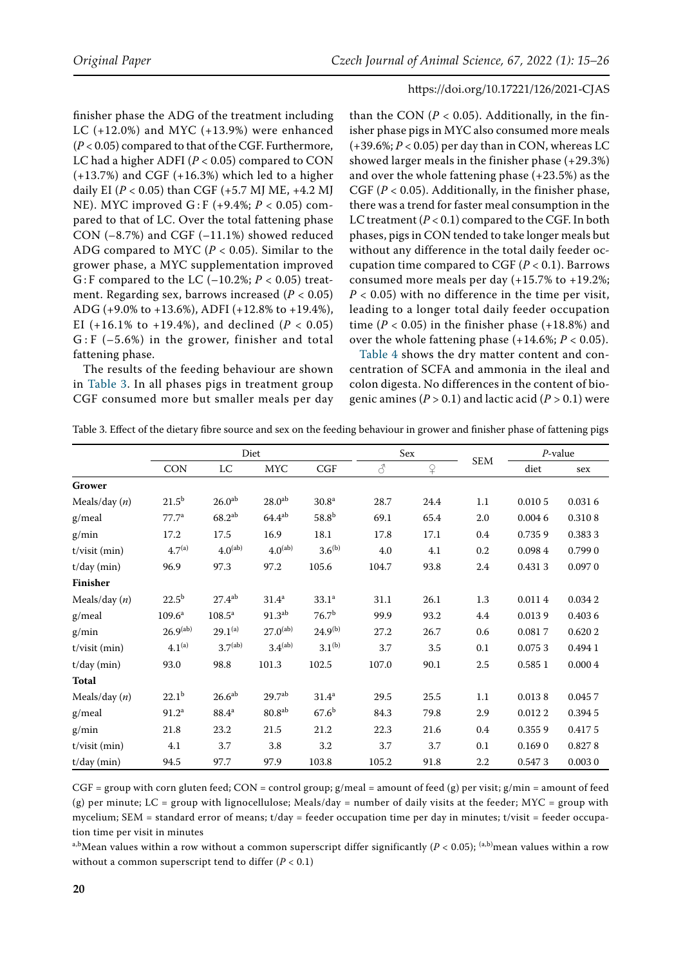finisher phase the ADG of the treatment including LC (+12.0%) and MYC (+13.9%) were enhanced (*P* < 0.05) compared to that of the CGF. Furthermore, LC had a higher ADFI (*P* < 0.05) compared to CON  $(+13.7%)$  and CGF  $(+16.3%)$  which led to a higher daily EI (*P* < 0.05) than CGF (+5.7 MJ ME, +4.2 MJ NE). MYC improved G : F (+9.4%; *P* < 0.05) compared to that of LC. Over the total fattening phase CON (–8.7%) and CGF (–11.1%) showed reduced ADG compared to MYC (*P* < 0.05). Similar to the grower phase, a MYC supplementation improved G: F compared to the LC  $(-10.2\%; P < 0.05)$  treatment. Regarding sex, barrows increased (*P* < 0.05) ADG (+9.0% to +13.6%), ADFI (+12.8% to +19.4%), EI (+16.1% to +19.4%), and declined ( $P < 0.05$ )  $G$ : F  $(-5.6%)$  in the grower, finisher and total fattening phase.

The results of the feeding behaviour are shown in Table 3. In all phases pigs in treatment group CGF consumed more but smaller meals per day

than the CON  $(P < 0.05)$ . Additionally, in the finisher phase pigs in MYC also consumed more meals  $(+39.6\%; P < 0.05)$  per day than in CON, whereas LC showed larger meals in the finisher phase (+29.3%) and over the whole fattening phase (+23.5%) as the CGF (*P* < 0.05). Additionally, in the finisher phase, there was a trend for faster meal consumption in the LC treatment  $(P < 0.1)$  compared to the CGF. In both phases, pigs in CON tended to take longer meals but without any difference in the total daily feeder occupation time compared to CGF  $(P < 0.1)$ . Barrows consumed more meals per day (+15.7% to +19.2%; *P* < 0.05) with no difference in the time per visit, leading to a longer total daily feeder occupation time  $(P < 0.05)$  in the finisher phase  $(+18.8%)$  and over the whole fattening phase  $(+14.6\%; P < 0.05)$ .

Table 4 shows the dry matter content and concentration of SCFA and ammonia in the ileal and colon digesta. No differences in the content of biogenic amines (*P* > 0.1) and lactic acid (*P >* 0.1) were

|                 | Diet                 |                     |                     |                   | Sex                 |                | $P$ -value |        |         |
|-----------------|----------------------|---------------------|---------------------|-------------------|---------------------|----------------|------------|--------|---------|
|                 | <b>CON</b>           | LC                  | <b>MYC</b>          | CGF               | $\vec{\mathcal{C}}$ | $\overline{P}$ | <b>SEM</b> | diet   | sex     |
| Grower          |                      |                     |                     |                   |                     |                |            |        |         |
| Meals/day $(n)$ | $21.5^{b}$           | 26.0 <sup>ab</sup>  | 28.0 <sup>ab</sup>  | 30.8 <sup>a</sup> | 28.7                | 24.4           | 1.1        | 0.0105 | 0.0316  |
| $g/$ meal       | 77.7 <sup>a</sup>    | $68.2^{ab}$         | $64.4^{ab}$         | $58.8^{b}$        | 69.1                | 65.4           | 2.0        | 0.0046 | 0.3108  |
| g/min           | 17.2                 | 17.5                | 16.9                | 18.1              | 17.8                | 17.1           | 0.4        | 0.7359 | 0.3833  |
| t/visit (min)   | $4.7^{(a)}$          | $4.0^{(ab)}$        | $4.0^{(ab)}$        | $3.6^{(b)}$       | 4.0                 | 4.1            | 0.2        | 0.0984 | 0.7990  |
| $t/day$ (min)   | 96.9                 | 97.3                | 97.2                | 105.6             | 104.7               | 93.8           | 2.4        | 0.4313 | 0.0970  |
| Finisher        |                      |                     |                     |                   |                     |                |            |        |         |
| Meals/day $(n)$ | $22.5^{\rm b}$       | $27.4^{ab}$         | 31.4 <sup>a</sup>   | 33.1 <sup>a</sup> | 31.1                | 26.1           | 1.3        | 0.0114 | 0.0342  |
| g/meal          | $109.6^a$            | $108.5^{\circ}$     | 91.3 <sup>ab</sup>  | 76.7 <sup>b</sup> | 99.9                | 93.2           | 4.4        | 0.0139 | 0.4036  |
| g/min           | 26.9 <sup>(ab)</sup> | $29.1^{(a)}$        | $27.0^{(ab)}$       | $24.9^{(b)}$      | 27.2                | 26.7           | 0.6        | 0.0817 | 0.6202  |
| $t/visit$ (min) | $4.1^{(a)}$          | 3.7 <sup>(ab)</sup> | 3.4 <sup>(ab)</sup> | $3.1^{(b)}$       | 3.7                 | 3.5            | 0.1        | 0.0753 | 0.494 1 |
| $t/day$ (min)   | 93.0                 | 98.8                | 101.3               | 102.5             | 107.0               | 90.1           | 2.5        | 0.5851 | 0.0004  |
| <b>Total</b>    |                      |                     |                     |                   |                     |                |            |        |         |
| Meals/day $(n)$ | $22.1^{b}$           | 26.6 <sup>ab</sup>  | 29.7 <sup>ab</sup>  | 31.4 <sup>a</sup> | 29.5                | 25.5           | 1.1        | 0.0138 | 0.0457  |
| g/meal          | 91.2 <sup>a</sup>    | 88.4 <sup>a</sup>   | 80.8 <sup>ab</sup>  | 67.6 <sup>b</sup> | 84.3                | 79.8           | 2.9        | 0.0122 | 0.3945  |
| g/min           | 21.8                 | 23.2                | 21.5                | 21.2              | 22.3                | 21.6           | 0.4        | 0.3559 | 0.4175  |
| $t/visit$ (min) | 4.1                  | 3.7                 | 3.8                 | 3.2               | 3.7                 | 3.7            | 0.1        | 0.1690 | 0.8278  |
| $t/day$ (min)   | 94.5                 | 97.7                | 97.9                | 103.8             | 105.2               | 91.8           | 2.2        | 0.5473 | 0.0030  |

Table 3. Effect of the dietary fibre source and sex on the feeding behaviour in grower and finisher phase of fattening pigs

 $CGF = group$  with corn gluten feed;  $CON = control$  group; g/meal = amount of feed (g) per visit; g/min = amount of feed (g) per minute; LC = group with lignocellulose; Meals/day = number of daily visits at the feeder; MYC = group with mycelium; SEM = standard error of means; t/day = feeder occupation time per day in minutes; t/visit = feeder occupation time per visit in minutes

a,b<sub>Mean values within a row without a common superscript differ significantly ( $P < 0.05$ ); <sup>(a,b)</sup>mean values within a row</sub> without a common superscript tend to differ  $(P < 0.1)$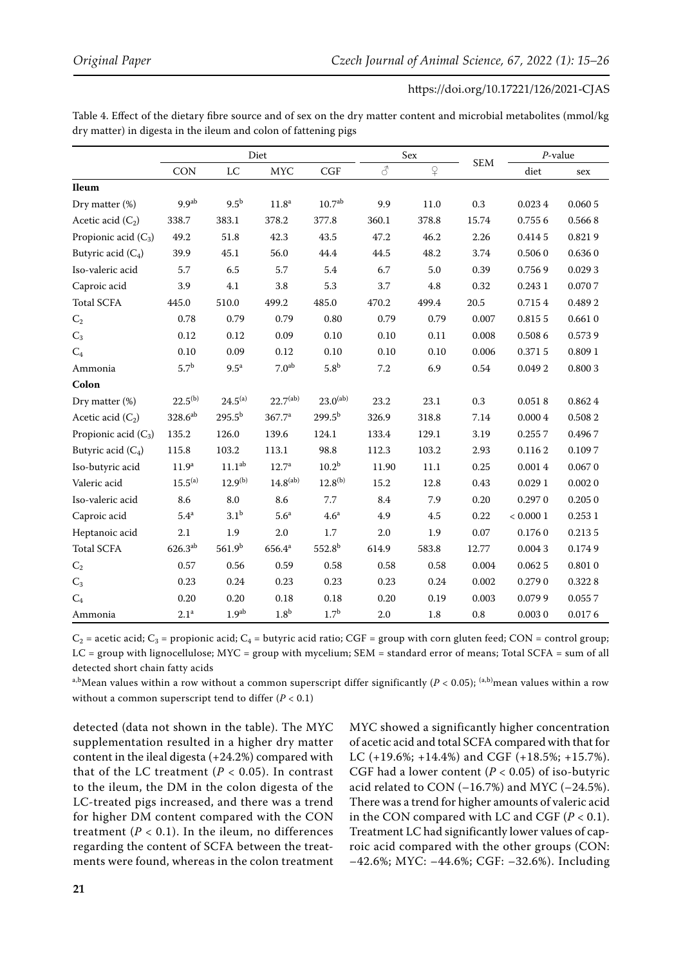|                        | Diet                  |                    |                    |                    |          | Sex                         |            | $P$ -value   |            |
|------------------------|-----------------------|--------------------|--------------------|--------------------|----------|-----------------------------|------------|--------------|------------|
|                        | CON                   | $_{\rm LC}$        | <b>MYC</b>         | <b>CGF</b>         | 8        | $\operatorname{\mathsf{P}}$ | <b>SEM</b> | diet         | sex        |
| <b>Ileum</b>           |                       |                    |                    |                    |          |                             |            |              |            |
| Dry matter (%)         | 9.9 <sup>ab</sup>     | 9.5 <sup>b</sup>   | $11.8^{\rm a}$     | 10.7 <sup>ab</sup> | 9.9      | 11.0                        | 0.3        | 0.0234       | 0.0605     |
| Acetic acid $(C_2)$    | 338.7                 | 383.1              | 378.2              | 377.8              | 360.1    | 378.8                       | 15.74      | 0.7556       | 0.5668     |
| Propionic acid $(C_3)$ | 49.2                  | 51.8               | 42.3               | 43.5               | 47.2     | 46.2                        | 2.26       | 0.4145       | 0.8219     |
| Butyric acid $(C_4)$   | 39.9                  | 45.1               | 56.0               | 44.4               | 44.5     | 48.2                        | 3.74       | 0.5060       | 0.6360     |
| Iso-valeric acid       | 5.7                   | 6.5                | 5.7                | 5.4                | 6.7      | 5.0                         | 0.39       | 0.7569       | 0.0293     |
| Caproic acid           | 3.9                   | 4.1                | $3.8\,$            | 5.3                | 3.7      | 4.8                         | 0.32       | 0.243 1      | $0.070\ 7$ |
| <b>Total SCFA</b>      | 445.0                 | 510.0              | 499.2              | 485.0              | 470.2    | 499.4                       | $20.5\,$   | 0.7154       | 0.4892     |
| $\mathrm{C}_2$         | 0.78                  | 0.79               | 0.79               | 0.80               | 0.79     | 0.79                        | 0.007      | 0.8155       | 0.6610     |
| $\mathrm{C}_3$         | $0.12\,$              | $0.12\,$           | 0.09               | $0.10\,$           | $0.10\,$ | $0.11\,$                    | 0.008      | 0.5086       | 0.5739     |
| $\mathrm{C}_4$         | 0.10                  | 0.09               | 0.12               | 0.10               | $0.10\,$ | 0.10                        | 0.006      | $0.371\ 5$   | 0.8091     |
| Ammonia                | 5.7 <sup>b</sup>      | $9.5^{\mathrm{a}}$ | 7.0 <sup>ab</sup>  | 5.8 <sup>b</sup>   | $7.2\,$  | 6.9                         | 0.54       | 0.0492       | 0.8003     |
| Colon                  |                       |                    |                    |                    |          |                             |            |              |            |
| Dry matter (%)         | $22.5^{(b)}$          | $24.5^{(a)}$       | $22.7^{(ab)}$      | $23.0^{(ab)}$      | 23.2     | $23.1\,$                    | $0.3\,$    | 0.0518       | 0.8624     |
| Acetic acid $(C_2)$    | $328.6$ <sup>ab</sup> | $295.5^{b}$        | 367.7 <sup>a</sup> | $299.5^{b}$        | 326.9    | 318.8                       | 7.14       | 0.0004       | 0.5082     |
| Propionic acid $(C_3)$ | 135.2                 | 126.0              | 139.6              | 124.1              | 133.4    | 129.1                       | 3.19       | 0.2557       | 0.4967     |
| Butyric acid $(C_4)$   | 115.8                 | 103.2              | 113.1              | 98.8               | 112.3    | 103.2                       | 2.93       | 0.1162       | 0.1097     |
| Iso-butyric acid       | 11.9 <sup>a</sup>     | 11.1 <sup>ab</sup> | $12.7^{\rm a}$     | $10.2^{b}$         | 11.90    | 11.1                        | 0.25       | 0.0014       | 0.0670     |
| Valeric acid           | $15.5^{(a)}$          | $12.9^{(b)}$       | $14.8^{(ab)}$      | $12.8^{(b)}$       | 15.2     | 12.8                        | 0.43       | 0.0291       | 0.0020     |
| Iso-valeric acid       | 8.6                   | 8.0                | 8.6                | 7.7                | 8.4      | 7.9                         | $0.20\,$   | 0.2970       | 0.2050     |
| Caproic acid           | 5.4 <sup>a</sup>      | 3.1 <sup>b</sup>   | 5.6 <sup>a</sup>   | 4.6 <sup>a</sup>   | 4.9      | $4.5\,$                     | 0.22       | $< 0.000\ 1$ | 0.2531     |
| Heptanoic acid         | 2.1                   | 1.9                | $2.0\,$            | 1.7                | 2.0      | 1.9                         | 0.07       | 0.1760       | 0.2135     |
| <b>Total SCFA</b>      | $626.3^{ab}$          | 561.9 <sup>b</sup> | $656.4^{\rm a}$    | $552.8^{b}$        | 614.9    | 583.8                       | 12.77      | 0.0043       | 0.1749     |
| $C_2$                  | 0.57                  | 0.56               | 0.59               | 0.58               | 0.58     | 0.58                        | 0.004      | 0.0625       | 0.8010     |
| $\mathrm{C}_3$         | 0.23                  | $0.24\,$           | 0.23               | 0.23               | 0.23     | 0.24                        | 0.002      | 0.2790       | 0.3228     |
| $C_4$                  | 0.20                  | 0.20               | 0.18               | 0.18               | 0.20     | 0.19                        | 0.003      | 0.0799       | 0.0557     |
| Ammonia                | 2.1 <sup>a</sup>      | 1.9 <sup>ab</sup>  | 1.8 <sup>b</sup>   | 1.7 <sup>b</sup>   | $2.0\,$  | $1.8\,$                     | $\rm 0.8$  | 0.0030       | 0.0176     |

Table 4. Effect of the dietary fibre source and of sex on the dry matter content and microbial metabolites (mmol/kg dry matter) in digesta in the ileum and colon of fattening pigs

 $C_2$  = acetic acid;  $C_3$  = propionic acid;  $C_4$  = butyric acid ratio; CGF = group with corn gluten feed; CON = control group; LC = group with lignocellulose; MYC = group with mycelium; SEM = standard error of means; Total SCFA = sum of all detected short chain fatty acids

a,b<sub>Mean values within a row without a common superscript differ significantly (*P* < 0.05); <sup>(a,b)</sup>mean values within a row</sub> without a common superscript tend to differ  $(P < 0.1)$ 

detected (data not shown in the table). The MYC supplementation resulted in a higher dry matter content in the ileal digesta (+24.2%) compared with that of the LC treatment  $(P < 0.05)$ . In contrast to the ileum, the DM in the colon digesta of the LC-treated pigs increased, and there was a trend for higher DM content compared with the CON treatment  $(P < 0.1)$ . In the ileum, no differences regarding the content of SCFA between the treatments were found, whereas in the colon treatment MYC showed a significantly higher concentration of acetic acid and total SCFA compared with that for LC (+19.6%; +14.4%) and CGF (+18.5%; +15.7%). CGF had a lower content  $(P < 0.05)$  of iso-butyric acid related to CON  $(-16.7%)$  and MYC  $(-24.5%).$ There was a trend for higher amounts of valeric acid in the CON compared with LC and CGF  $(P < 0.1)$ . Treatment LC had significantly lower values of caproic acid compared with the other groups (CON: –42.6%; MYC: –44.6%; CGF: –32.6%). Including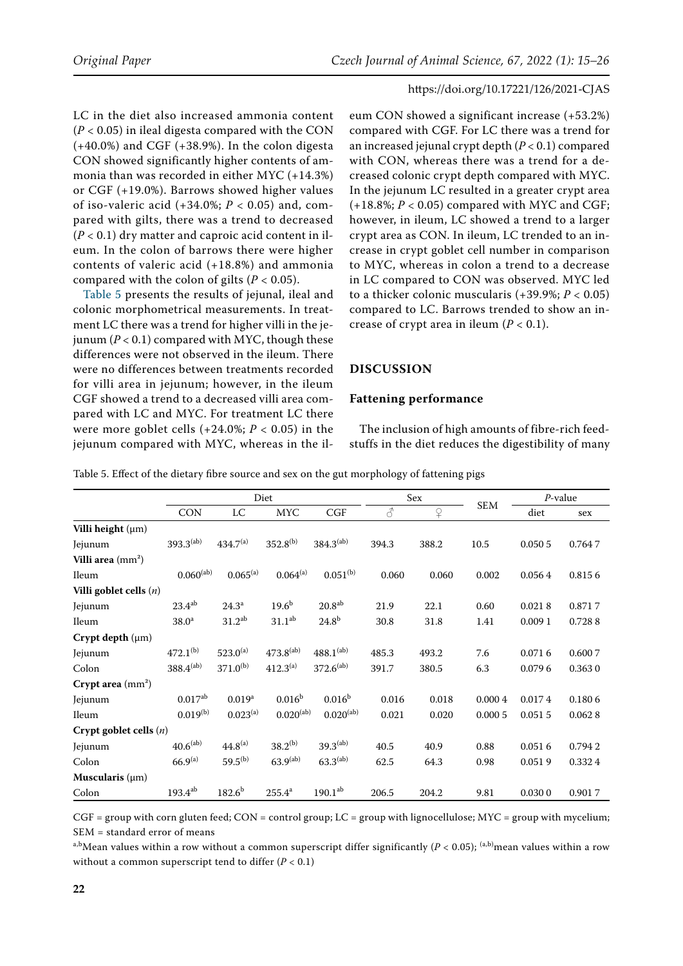LC in the diet also increased ammonia content (*P* < 0.05) in ileal digesta compared with the CON (+40.0%) and CGF (+38.9%). In the colon digesta CON showed significantly higher contents of ammonia than was recorded in either MYC (+14.3%) or CGF (+19.0%). Barrows showed higher values of iso-valeric acid (+34.0%; *P* < 0.05) and, compared with gilts, there was a trend to decreased  $(P < 0.1)$  dry matter and caproic acid content in ileum. In the colon of barrows there were higher contents of valeric acid (+18.8%) and ammonia compared with the colon of gilts ( $P < 0.05$ ).

Table 5 presents the results of jejunal, ileal and colonic morphometrical measurements. In treatment LC there was a trend for higher villi in the jejunum  $(P < 0.1)$  compared with MYC, though these differences were not observed in the ileum. There were no differences between treatments recorded for villi area in jejunum; however, in the ileum CGF showed a trend to a decreased villi area compared with LC and MYC. For treatment LC there were more goblet cells (+24.0%; *P* < 0.05) in the jejunum compared with MYC, whereas in the il-

eum CON showed a significant increase (+53.2%) compared with CGF. For LC there was a trend for an increased jejunal crypt depth (*P* < 0.1) compared with CON, whereas there was a trend for a decreased colonic crypt depth compared with MYC. In the jejunum LC resulted in a greater crypt area  $(+18.8\%; P < 0.05)$  compared with MYC and CGF; however, in ileum, LC showed a trend to a larger crypt area as CON. In ileum, LC trended to an increase in crypt goblet cell number in comparison to MYC, whereas in colon a trend to a decrease in LC compared to CON was observed. MYC led to a thicker colonic muscularis (+39.9%; *P* < 0.05) compared to LC. Barrows trended to show an increase of crypt area in ileum  $(P < 0.1)$ .

## **Discussion**

#### **Fattening performance**

The inclusion of high amounts of fibre-rich feedstuffs in the diet reduces the digestibility of many

Table 5. Effect of the dietary fibre source and sex on the gut morphology of fattening pigs

|                                    | Diet                 |                    |                      |                    |                     | Sex      |            | $P$ -value |        |
|------------------------------------|----------------------|--------------------|----------------------|--------------------|---------------------|----------|------------|------------|--------|
|                                    | <b>CON</b>           | LC                 | <b>MYC</b>           | CGF                | $\vec{\mathcal{S}}$ | $\Omega$ | <b>SEM</b> | diet       | sex    |
| Villi height $(\mu m)$             |                      |                    |                      |                    |                     |          |            |            |        |
| Jejunum                            | $393.3^{(ab)}$       | $434.7^{(a)}$      | $352.8^{(b)}$        | $384.3^{(ab)}$     | 394.3               | 388.2    | 10.5       | 0.0505     | 0.7647 |
| Villi area $\text{(mm}^2)$         |                      |                    |                      |                    |                     |          |            |            |        |
| Ileum                              | $0.060^{(ab)}$       | $0.065^{(a)}$      | $0.064^{(a)}$        | $0.051^{(b)}$      | 0.060               | 0.060    | 0.002      | 0.0564     | 0.8156 |
| Villi goblet cells $(n)$           |                      |                    |                      |                    |                     |          |            |            |        |
| Jejunum                            | $23.4^{ab}$          | $24.3^{\circ}$     | $19.6^{b}$           | 20.8 <sup>ab</sup> | 21.9                | 22.1     | 0.60       | 0.0218     | 0.8717 |
| Ileum                              | 38.0 <sup>a</sup>    | $31.2^{ab}$        | 31.1 <sup>ab</sup>   | $24.8^{b}$         | 30.8                | 31.8     | 1.41       | 0.0091     | 0.7288 |
| Crypt depth $(\mu m)$              |                      |                    |                      |                    |                     |          |            |            |        |
| Jejunum                            | $472.1^{(b)}$        | $523.0^{(a)}$      | $473.8^{(ab)}$       | $488.1^{(ab)}$     | 485.3               | 493.2    | 7.6        | 0.0716     | 0.6007 |
| Colon                              | $388.4^{(ab)}$       | $371.0^{(b)}$      | $412.3^{(a)}$        | $372.6^{(ab)}$     | 391.7               | 380.5    | 6.3        | 0.0796     | 0.3630 |
| Crypt area $\text{ (mm}^2\text{)}$ |                      |                    |                      |                    |                     |          |            |            |        |
| Jejunum                            | $0.017^{ab}$         | 0.019 <sup>a</sup> | 0.016 <sup>b</sup>   | 0.016 <sup>b</sup> | 0.016               | 0.018    | 0.0004     | 0.0174     | 0.1806 |
| Ileum                              | $0.019^{(b)}$        | $0.023^{(a)}$      | $0.020^{(ab)}$       | $0.020^{(ab)}$     | 0.021               | 0.020    | 0.0005     | 0.0515     | 0.0628 |
| Crypt goblet cells $(n)$           |                      |                    |                      |                    |                     |          |            |            |        |
| Jejunum                            | 40.6 <sup>(ab)</sup> | $44.8^{(a)}$       | $38.2^{(b)}$         | $39.3^{(ab)}$      | 40.5                | 40.9     | 0.88       | 0.0516     | 0.7942 |
| Colon                              | $66.9^{(a)}$         | $59.5^{(b)}$       | 63.9 <sup>(ab)</sup> | $63.3^{(ab)}$      | 62.5                | 64.3     | 0.98       | 0.0519     | 0.3324 |
| Muscularis $(\mu m)$               |                      |                    |                      |                    |                     |          |            |            |        |
| Colon                              | $193.4^{ab}$         | $182.6^{b}$        | $255.4^a$            | $190.1^{ab}$       | 206.5               | 204.2    | 9.81       | 0.0300     | 0.9017 |

 $CGF = group$  with corn gluten feed;  $CON = control$  group;  $LC = group$  with lignocellulose;  $MYC = group$  with mycelium; SEM = standard error of means

a,b<sub>Mean values within a row without a common superscript differ significantly ( $P < 0.05$ ); <sup>(a,b)</sup>mean values within a row</sub> without a common superscript tend to differ  $(P < 0.1)$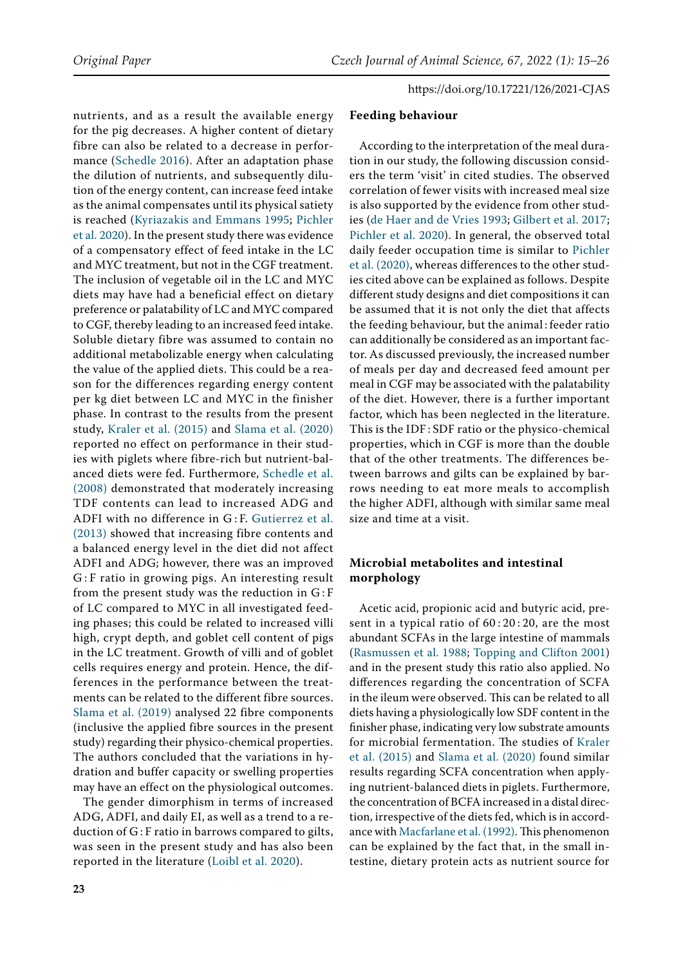nutrients, and as a result the available energy for the pig decreases. A higher content of dietary fibre can also be related to a decrease in performance ([Schedle 2016](#page-10-1)). After an adaptation phase the dilution of nutrients, and subsequently dilution of the energy content, can increase feed intake as the animal compensates until its physical satiety is reached [\(Kyriazakis and Emmans 1995;](#page-10-14) [Pichler](#page-10-8)  [et al. 2020](#page-10-8)). In the present study there was evidence of a compensatory effect of feed intake in the LC and MYC treatment, but not in the CGF treatment. The inclusion of vegetable oil in the LC and MYC diets may have had a beneficial effect on dietary preference or palatability of LC and MYC compared to CGF, thereby leading to an increased feed intake. Soluble dietary fibre was assumed to contain no additional metabolizable energy when calculating the value of the applied diets. This could be a reason for the differences regarding energy content per kg diet between LC and MYC in the finisher phase. In contrast to the results from the present study, [Kraler et al. \(2015\)](#page-10-15) and [Slama et al. \(2020\)](#page-11-3)  reported no effect on performance in their studies with piglets where fibre-rich but nutrient-balanced diets were fed. Furthermore, [Schedle et al.](#page-10-0)  [\(2008\)](#page-10-0) demonstrated that moderately increasing TDF contents can lead to increased ADG and ADFI with no difference in G : F. [Gutierrez et al.](#page-10-16)  [\(2013\)](#page-10-16) showed that increasing fibre contents and a balanced energy level in the diet did not affect ADFI and ADG; however, there was an improved G : F ratio in growing pigs. An interesting result from the present study was the reduction in G : F of LC compared to MYC in all investigated feeding phases; this could be related to increased villi high, crypt depth, and goblet cell content of pigs in the LC treatment. Growth of villi and of goblet cells requires energy and protein. Hence, the differences in the performance between the treatments can be related to the different fibre sources. [Slama et al. \(2019\)](#page-10-4) analysed 22 fibre components (inclusive the applied fibre sources in the present study) regarding their physico-chemical properties. The authors concluded that the variations in hydration and buffer capacity or swelling properties may have an effect on the physiological outcomes.

The gender dimorphism in terms of increased ADG, ADFI, and daily EI, as well as a trend to a reduction of G: F ratio in barrows compared to gilts, was seen in the present study and has also been reported in the literature ([Loibl et al. 2020\)](#page-10-17).

#### **Feeding behaviour**

According to the interpretation of the meal duration in our study, the following discussion considers the term 'visit' in cited studies. The observed correlation of fewer visits with increased meal size is also supported by the evidence from other studies [\(de Haer and de Vries 1993](#page-9-4); [Gilbert et al. 2017](#page-10-18); [Pichler et al. 2020](#page-10-8)). In general, the observed total daily feeder occupation time is similar to [Pichler](#page-10-8) [et al. \(2020\)](#page-10-8), whereas differences to the other studies cited above can be explained as follows. Despite different study designs and diet compositions it can be assumed that it is not only the diet that affects the feeding behaviour, but the animal : feeder ratio can additionally be considered as an important factor. As discussed previously, the increased number of meals per day and decreased feed amount per meal in CGF may be associated with the palatability of the diet. However, there is a further important factor, which has been neglected in the literature. This is the IDF : SDF ratio or the physico-chemical properties, which in CGF is more than the double that of the other treatments. The differences between barrows and gilts can be explained by barrows needing to eat more meals to accomplish the higher ADFI, although with similar same meal size and time at a visit.

# **Microbial metabolites and intestinal morphology**

Acetic acid, propionic acid and butyric acid, present in a typical ratio of  $60:20:20$ , are the most abundant SCFAs in the large intestine of mammals [\(Rasmussen et al. 1988](#page-10-7); [Topping and Clifton 2001](#page-11-4)) and in the present study this ratio also applied. No differences regarding the concentration of SCFA in the ileum were observed. This can be related to all diets having a physiologically low SDF content in the finisher phase, indicating very low substrate amounts for microbial fermentation. The studies of [Kraler](#page-10-15) [et al. \(2015\)](#page-10-15) and [Slama et al. \(2020\)](#page-11-3) found similar results regarding SCFA concentration when applying nutrient-balanced diets in piglets. Furthermore, the concentration of BCFA increased in a distal direction, irrespective of the diets fed, which is in accordance with [Macfarlane et al. \(1992\).](#page-10-19) This phenomenon can be explained by the fact that, in the small intestine, dietary protein acts as nutrient source for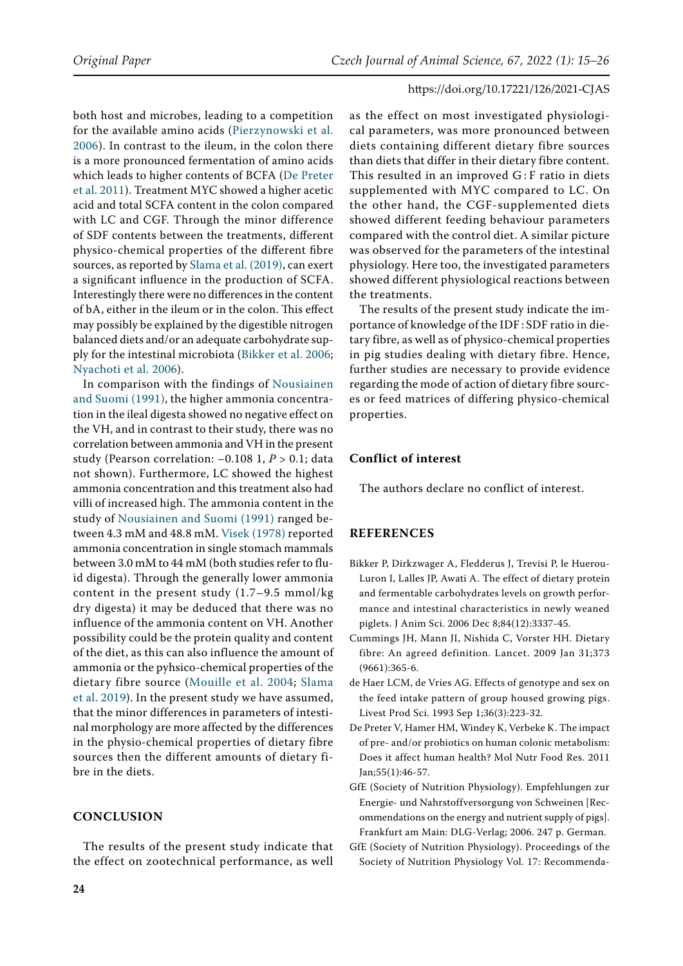both host and microbes, leading to a competition for the available amino acids ([Pierzynowski et al.](#page-10-20)  [2006\)](#page-10-20). In contrast to the ileum, in the colon there is a more pronounced fermentation of amino acids which leads to higher contents of BCFA ([De Preter](#page-9-1)  [et al. 2011\)](#page-9-1). Treatment MYC showed a higher acetic acid and total SCFA content in the colon compared with LC and CGF. Through the minor difference of SDF contents between the treatments, different physico-chemical properties of the different fibre sources, as reported by [Slama et al. \(2019\)](#page-10-4), can exert a significant influence in the production of SCFA. Interestingly there were no differences in the content of bA, either in the ileum or in the colon. This effect may possibly be explained by the digestible nitrogen balanced diets and/or an adequate carbohydrate supply for the intestinal microbiota [\(Bikker et al. 2006](#page-9-5); [Nyachoti et al. 2006](#page-10-21)).

In comparison with the findings of [Nousiainen](#page-10-22)  [and Suomi \(1991\),](#page-10-22) the higher ammonia concentration in the ileal digesta showed no negative effect on the VH, and in contrast to their study, there was no correlation between ammonia and VH in the present study (Pearson correlation: –0.108 1, *P* > 0.1; data not shown). Furthermore, LC showed the highest ammonia concentration and this treatment also had villi of increased high. The ammonia content in the study of [Nousiainen and Suomi \(1991\)](#page-10-22) ranged between 4.3 mM and 48.8 mM. [Visek \(1978\)](#page-11-5) reported ammonia concentration in single stomach mammals between 3.0 mM to 44 mM (both studies refer to fluid digesta). Through the generally lower ammonia content in the present study (1.7–9.5 mmol/kg dry digesta) it may be deduced that there was no influence of the ammonia content on VH. Another possibility could be the protein quality and content of the diet, as this can also influence the amount of ammonia or the pyhsico-chemical properties of the dietary fibre source ([Mouille et al. 2004;](#page-10-23) [Slama](#page-10-4)  [et al. 2019\)](#page-10-4). In the present study we have assumed, that the minor differences in parameters of intestinal morphology are more affected by the differences in the physio-chemical properties of dietary fibre sources then the different amounts of dietary fibre in the diets.

## **Conclusion**

The results of the present study indicate that the effect on zootechnical performance, as well

as the effect on most investigated physiological parameters, was more pronounced between diets containing different dietary fibre sources than diets that differ in their dietary fibre content. This resulted in an improved G : F ratio in diets supplemented with MYC compared to LC. On the other hand, the CGF-supplemented diets showed different feeding behaviour parameters compared with the control diet. A similar picture was observed for the parameters of the intestinal physiology. Here too, the investigated parameters showed different physiological reactions between the treatments.

The results of the present study indicate the importance of knowledge of the IDF : SDF ratio in dietary fibre, as well as of physico-chemical properties in pig studies dealing with dietary fibre. Hence, further studies are necessary to provide evidence regarding the mode of action of dietary fibre sources or feed matrices of differing physico-chemical properties.

#### **Conflict of interest**

The authors declare no conflict of interest.

## **REFERENCES**

- <span id="page-9-5"></span>Bikker P, Dirkzwager A, Fledderus J, Trevisi P, le Huerou-Luron I, Lalles JP, Awati A. The effect of dietary protein and fermentable carbohydrates levels on growth performance and intestinal characteristics in newly weaned piglets. J Anim Sci. 2006 Dec 8;84(12):3337-45.
- <span id="page-9-0"></span>Cummings JH, Mann JI, Nishida C, Vorster HH. Dietary fibre: An agreed definition. Lancet. 2009 Jan 31;373 (9661):365-6.
- <span id="page-9-4"></span>de Haer LCM, de Vries AG. Effects of genotype and sex on the feed intake pattern of group housed growing pigs. Livest Prod Sci. 1993 Sep 1;36(3):223-32.
- <span id="page-9-1"></span>De Preter V, Hamer HM, Windey K, Verbeke K. The impact of pre- and/or probiotics on human colonic metabolism: Does it affect human health? Mol Nutr Food Res. 2011 Jan;55(1):46-57.
- <span id="page-9-3"></span>GfE (Society of Nutrition Physiology). Empfehlungen zur Energie- und Nahrstoffversorgung von Schweinen [Recommendations on the energy and nutrient supply of pigs]. Frankfurt am Main: DLG-Verlag; 2006. 247 p. German.
- <span id="page-9-2"></span>GfE (Society of Nutrition Physiology). Proceedings of the Society of Nutrition Physiology Vol. 17: Recommenda-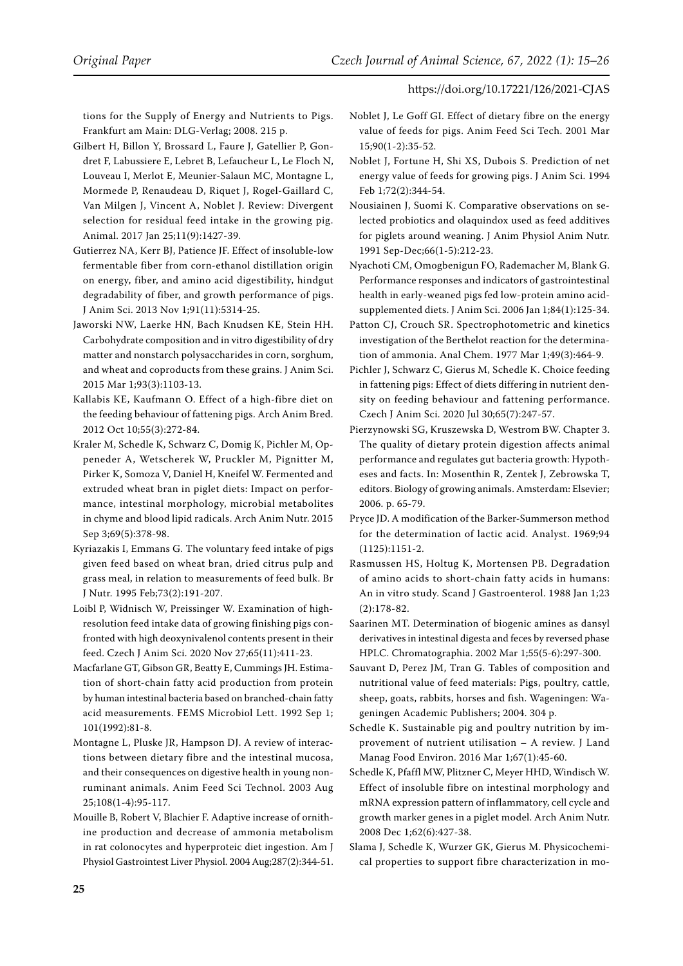tions for the Supply of Energy and Nutrients to Pigs. Frankfurt am Main: DLG-Verlag; 2008. 215 p.

- <span id="page-10-18"></span>Gilbert H, Billon Y, Brossard L, Faure J, Gatellier P, Gondret F, Labussiere E, Lebret B, Lefaucheur L, Le Floch N, Louveau I, Merlot E, Meunier-Salaun MC, Montagne L, Mormede P, Renaudeau D, Riquet J, Rogel-Gaillard C, Van Milgen J, Vincent A, Noblet J. Review: Divergent selection for residual feed intake in the growing pig. Animal. 2017 Jan 25;11(9):1427-39.
- <span id="page-10-16"></span>Gutierrez NA, Kerr BJ, Patience JF. Effect of insoluble-low fermentable fiber from corn-ethanol distillation origin on energy, fiber, and amino acid digestibility, hindgut degradability of fiber, and growth performance of pigs. J Anim Sci. 2013 Nov 1;91(11):5314-25.
- <span id="page-10-2"></span>Jaworski NW, Laerke HN, Bach Knudsen KE, Stein HH. Carbohydrate composition and in vitro digestibility of dry matter and nonstarch polysaccharides in corn, sorghum, and wheat and coproducts from these grains. J Anim Sci. 2015 Mar 1;93(3):1103-13.
- <span id="page-10-5"></span>Kallabis KE, Kaufmann O. Effect of a high-fibre diet on the feeding behaviour of fattening pigs. Arch Anim Bred. 2012 Oct 10;55(3):272-84.
- <span id="page-10-15"></span>Kraler M, Schedle K, Schwarz C, Domig K, Pichler M, Oppeneder A, Wetscherek W, Pruckler M, Pignitter M, Pirker K, Somoza V, Daniel H, Kneifel W. Fermented and extruded wheat bran in piglet diets: Impact on performance, intestinal morphology, microbial metabolites in chyme and blood lipid radicals. Arch Anim Nutr. 2015 Sep 3;69(5):378-98.
- <span id="page-10-14"></span>Kyriazakis I, Emmans G. The voluntary feed intake of pigs given feed based on wheat bran, dried citrus pulp and grass meal, in relation to measurements of feed bulk. Br J Nutr. 1995 Feb;73(2):191-207.
- <span id="page-10-17"></span>Loibl P, Widnisch W, Preissinger W. Examination of highresolution feed intake data of growing finishing pigs confronted with high deoxynivalenol contents present in their feed. Czech J Anim Sci. 2020 Nov 27;65(11):411-23.
- <span id="page-10-19"></span>Macfarlane GT, Gibson GR, Beatty E, Cummings JH. Estimation of short-chain fatty acid production from protein by human intestinal bacteria based on branched-chain fatty acid measurements. FEMS Microbiol Lett. 1992 Sep 1; 101(1992):81-8.
- <span id="page-10-3"></span>Montagne L, Pluske JR, Hampson DJ. A review of interactions between dietary fibre and the intestinal mucosa, and their consequences on digestive health in young nonruminant animals. Anim Feed Sci Technol. 2003 Aug 25;108(1-4):95-117.
- <span id="page-10-23"></span>Mouille B, Robert V, Blachier F. Adaptive increase of ornithine production and decrease of ammonia metabolism in rat colonocytes and hyperproteic diet ingestion. Am J Physiol Gastrointest Liver Physiol. 2004 Aug;287(2):344-51.
- <span id="page-10-6"></span>Noblet J, Le Goff GI. Effect of dietary fibre on the energy value of feeds for pigs. Anim Feed Sci Tech. 2001 Mar 15;90(1-2):35-52.
- <span id="page-10-9"></span>Noblet J, Fortune H, Shi XS, Dubois S. Prediction of net energy value of feeds for growing pigs. J Anim Sci. 1994 Feb 1;72(2):344-54.
- <span id="page-10-22"></span>Nousiainen J, Suomi K. Comparative observations on selected probiotics and olaquindox used as feed additives for piglets around weaning. J Anim Physiol Anim Nutr. 1991 Sep-Dec;66(1-5):212-23.
- <span id="page-10-21"></span>Nyachoti CM, Omogbenigun FO, Rademacher M, Blank G. Performance responses and indicators of gastrointestinal health in early-weaned pigs fed low-protein amino acidsupplemented diets. J Anim Sci. 2006 Jan 1;84(1):125-34.
- <span id="page-10-12"></span>Patton CJ, Crouch SR. Spectrophotometric and kinetics investigation of the Berthelot reaction for the determination of ammonia. Anal Chem. 1977 Mar 1;49(3):464-9.
- <span id="page-10-8"></span>Pichler J, Schwarz C, Gierus M, Schedle K. Choice feeding in fattening pigs: Effect of diets differing in nutrient density on feeding behaviour and fattening performance. Czech J Anim Sci. 2020 Jul 30;65(7):247-57.
- <span id="page-10-20"></span>Pierzynowski SG, Kruszewska D, Westrom BW. Chapter 3. The quality of dietary protein digestion affects animal performance and regulates gut bacteria growth: Hypotheses and facts. In: Mosenthin R, Zentek J, Zebrowska T, editors. Biology of growing animals. Amsterdam: Elsevier; 2006. p. 65-79.
- <span id="page-10-11"></span>Pryce JD. A modification of the Barker-Summerson method for the determination of lactic acid. Analyst. 1969;94 (1125):1151-2.
- <span id="page-10-7"></span>Rasmussen HS, Holtug K, Mortensen PB. Degradation of amino acids to short-chain fatty acids in humans: An in vitro study. Scand J Gastroenterol. 1988 Jan 1;23 (2):178-82.
- <span id="page-10-10"></span>Saarinen MT. Determination of biogenic amines as dansyl derivatives in intestinal digesta and feces by reversed phase HPLC. Chromatographia. 2002 Mar 1;55(5-6):297-300.
- <span id="page-10-13"></span>Sauvant D, Perez JM, Tran G. Tables of composition and nutritional value of feed materials: Pigs, poultry, cattle, sheep, goats, rabbits, horses and fish. Wageningen: Wageningen Academic Publishers; 2004. 304 p.
- <span id="page-10-1"></span>Schedle K. Sustainable pig and poultry nutrition by improvement of nutrient utilisation – A review. J Land Manag Food Environ. 2016 Mar 1;67(1):45-60.
- <span id="page-10-0"></span>Schedle K, Pfaffl MW, Plitzner C, Meyer HHD, Windisch W. Effect of insoluble fibre on intestinal morphology and mRNA expression pattern of inflammatory, cell cycle and growth marker genes in a piglet model. Arch Anim Nutr. 2008 Dec 1;62(6):427-38.
- <span id="page-10-4"></span>Slama J, Schedle K, Wurzer GK, Gierus M. Physicochemical properties to support fibre characterization in mo-